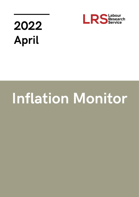

# 2022 April

# **Inflation Monitor**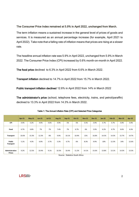# The Consumer Price Index remained at 5.9% in April 2022, unchanged from March.

The term inflation means a sustained increase in the general level of prices of goods and services. It is measured as an annual percentage increase (for example, April 2021 to April 2022). Take note that a falling rate of inflation means that prices are rising at a slower rate.

The headline annual inflation rate was 5.9% in April 2022, unchanged from 5.9% in March 2022. The Consumer Price Index (CPI) increased by 0.6% month-on-month in April 2022.

The food price declined to 6.3% in April 2022 from 6.6% in March 2022.

Transport inflation declined to 14.7% in April 2022 from 15.7% in March 2022.

Public transport inflation declined 12.6% in April 2022 from 14% in March 2022

The administrator's price (school, telephone fees, electricity, trains, and petrol/paraffin) declined to 13.3% in April 2022 from 14.3% in March 2022.

|                                 | <b>Apr-21</b> | $May-21$ | $Jun-21$ | $Jul-21$ | <b>Aug-21</b> | $Sep-21$         | <b>Oct-21</b> | <b>Nov-21</b> | <b>Dec-21</b> | $Jan-22$ | Feb-22 | Mar-22 | <b>Apr-22</b> |
|---------------------------------|---------------|----------|----------|----------|---------------|------------------|---------------|---------------|---------------|----------|--------|--------|---------------|
| <b>CPI</b>                      | 4.4%          | 5.2%     | 4.9%     | 4.6%     | 4.9%          | 5%               | 5%            | 5.5%          | 5.9%          | 5.7%     | 5.7%   | 5.9%   | 5.9%          |
| Food                            | 6.7%          | 6.8%     | 7%       | 7%       | 7.4%          | 7%               | 6.7%          | 6%            | 5.9%          | 6.2%     | 6.7%   | 6.6%   | 6.3%          |
| Transport                       | 10.6%         | 15.3%    | 12.3%    | 8%       | 9.9%          | 10.1%            | 10.9%         | 15%           | 16.8%         | 14.5%    | 14.3%  | 15.7%  | 14.7%         |
| Public<br>Transport             | 5.1%          | 4.3%     | 6.9%     | 3.7%     | 5.3%          | 6.7%             | 6%            | 8.3%          | 9.9%          | 10%      | 12.3%  | 14%    | 12.6%         |
| Administration<br><b>Prices</b> | 9.2%          | 12.5%    | 10.4%    | 9.1%     | 10.3%         | 10.4%<br>_ _ _ _ | 11.2%<br>.    | 14.1%         | 15.6%         | 13.8%    | 13.1%  | 14.3%  | 13.3%         |

Source: Statistics South Africa

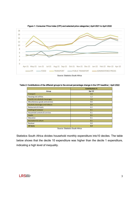

Figure 1: Consumer Price Index (CPI) and selected price categories | April 2021 to April 2022

Table 2: Contributions of the different groups to the annual percentage change in the CPI headline | April 2022

|                                  | <b>Contributions %</b> |
|----------------------------------|------------------------|
| Group                            | Apr-22                 |
| Transport                        | 2.0                    |
| Housing and utilities            | 1.2                    |
| Food & non-alcoholic beverages   | 1.0                    |
| Miscellaneous goods and services | 0.6                    |
| Alcoholic beverages and tobacco  | 0.4                    |
| Restaurants & hotels             | 0.2                    |
| Clothing & footwear              | 0.1                    |
| Household contents & services    | 0.1                    |
| <b>Health</b>                    | 0.1                    |
| Education                        | 0.1                    |
| <b>Recreation &amp; culture</b>  | 0.1                    |
| Residual                         | 0.0                    |
| <b>All items</b>                 | 5.9                    |

Source: Statistics South Africa

Statistics South Africa divides household monthly expenditure into10 deciles. The table below shows that the decile 10 expenditure was higher than the decile 1 expenditure, indicating a high level of inequality.

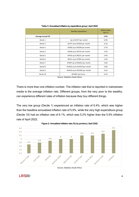|                    | Monthly expenditure           | <b>Inflation Rate</b><br>Apr-22 |
|--------------------|-------------------------------|---------------------------------|
| Average annual CPI |                               | 5.9%                            |
| Decile 1           | Up to R1477 per month         | 6.4%                            |
| Decile 2           | R1477 up to R2456 per month   | 6.1%                            |
| Decile 3           | R2456 up to R3549 per month   | 5.7%                            |
| Decile 4           | R3549 up to R4742 per month   | 5.5%                            |
| Decile 5           | R4742 up to R6151 per month   | 5.4%                            |
| Decile 6           | R6151 up to R7907 per month   | 5.2%                            |
| Decile 7           | R7907 up to R10352 per month  | 5.6%                            |
| Decile 8           | R10352 up to R14419 per month | 5.8%                            |
| Decile 9           | R14419 up to R22492 per month | 6.1%                            |
| Decile 10          | R22492 and more               | 6.1%                            |

Table 3: Annualised inflation by expenditure group | April 2022

Source: Statistics South Africa

There is more than one inflation number. The inflation rate that is reported in mainstream media is the average inflation rate. Different groups, from the very poor to the wealthy, can experience different rates of inflation because they buy different things.

The very low group (Decile 1) experienced an inflation rate of 6.4%, which was higher than the headline annualised inflation rate of 5.9%, while the very high expenditure group (Decile 10) had an inflation rate of 6.1%, which was 0.2% higher than the 5.9% inflation rate of April 2022.





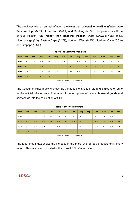The provinces with an annual inflation rate lower than or equal to headline inflation were Western Cape (5.7%), Free State (5.8%) and Gauteng (5.9%). The provinces with an annual inflation rate higher than headline inflation were KwaZulu-Natal (6%), Mpumalanga (6%), Eastern Cape (6.2%), Northern West (6.2%), Northern Cape (6.3%) and Limpopo (6.5%).

| Year | Jan            | <b>Feb</b> | Mar | Apr            | <b>May</b> | <b>Jun</b> | Jul | Aug | <b>Sep</b> | Oct | <b>Nov</b> | <b>Dec</b> | Ave. |
|------|----------------|------------|-----|----------------|------------|------------|-----|-----|------------|-----|------------|------------|------|
| 2019 | $\overline{4}$ | 4.1        | 4.5 | 4.4            | 4.5        | 4.5        | 4   | 4.3 | 4.1        | 3.7 | 3.6        | 4          | 4.1  |
| 2020 | 4.5            | 4.6        | 4.1 | $\overline{3}$ | 2.1        | 2.2        | 3.2 | 3.1 | 3          | 3.3 | 3.2        | 3.1        | 3.3  |
| 2021 | 3.2            | 2.9        | 3.2 | 4.4            | 5.2        | 4.9        | 4.6 | 4.9 | 5          | 5   | 5.5        | 5.9        | 4.5  |
| 2022 | 5.7            | 5.7        | 5.9 | 5.9            |            |            |     |     |            |     |            |            |      |

Table 4: The Consumer Price Index

Source: Statistics South Africa

The Consumer Price Index is known as the headline inflation rate and is also referred to as the official inflation rate. The month to month prices of over a thousand goods and services go into the calculation of CPI.

| Year | Jan | Feb | Mar | Apr | May | Jun | Jul | Aug | <b>Sep</b> | Oct | <b>Nov</b> | <b>Dec</b> | Ave. |
|------|-----|-----|-----|-----|-----|-----|-----|-----|------------|-----|------------|------------|------|
| 2019 | 2.3 | 2.3 | 2.3 | 2.3 | 2.8 | 3.2 | 3   | 3.8 | 3.7        | 3.5 | 3.5        | 3.8        | 3    |
| 2020 | 3.7 | 4.2 | 4.4 | 4.6 | 4.8 | 4.5 | 4.6 | 4.3 | 4.2        | 5.6 | 5.9        | 6.2        | 4.8  |
| 2021 | 5.6 | 5.4 | 5.9 | 6.7 | 6.8 | 7   | 7   | 7.4 | 7          | 6.7 | 6          | 5.9        | 6.5  |
| 2022 | 6.2 | 6.7 | 6.6 | 6.3 |     |     |     |     |            |     |            |            |      |

Table 5: The Food Price Index

Source: Statistics South Africa

The food price index shows the increase in the price level of food products only, every month. This rate is incorporated in the overall CPI inflation rate.

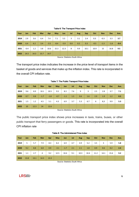| Year | Jan    | <b>Feb</b> | Mar  | Apr    | May    | Jun    | Jul | Aug | <b>Sep</b> | Oct    | <b>Nov</b> | <b>Dec</b> | Ave.   |
|------|--------|------------|------|--------|--------|--------|-----|-----|------------|--------|------------|------------|--------|
| 2019 | 2.9    | 3.6        | 6.4  | 7.4    | 7.1    | 5.5    | 3   | 3.1 | 2.4        | 0.3    | $-0.3$     | 3.3        | 3.7    |
| 2020 | 6.4    | 6.2        | 3.4  | $-3.5$ | $-8.4$ | $-5.9$ | 0.0 | 0.2 | 0.3        | $-0.5$ | $-1.3$     | $-1.6$     | $-0.4$ |
| 2021 | $-0.4$ | 1.2        | 3.8  | 10.6   | 15.3   | 12.3   | 8   | 9.9 | 10.1       | 10.9   | 15         | 16.8       | 9.5    |
| 2022 | 14.5   | 14.3       | 15.7 | 14.7   |        |        |     |     |            |        |            |            |        |

## Table 6: The Transport Price Index

Source: Statistics South Africa

The transport price index indicates the increase in the price level of transport items in the basket of goods and services that make up the inflation index. This rate is incorporated in the overall CPI inflation rate.

| Year | Jan | Feb  | Mar    | Apr    | May    | Jun    | Jul | Aug | <b>Sep</b> | Oct | <b>Nov</b> | <b>Dec</b> | Ave. |
|------|-----|------|--------|--------|--------|--------|-----|-----|------------|-----|------------|------------|------|
| 2019 | 9.6 | 8.9  | 10.1   | 10.5   | 9.5    | 8.3    | 7.6 | 9   | 3          | 2.5 | 2.8        | 3.7        | 7.1  |
| 2020 | 0.7 | 0.8  | $-1.7$ | $-1.8$ | $-0.7$ | $-1.1$ | 1.5 | 0.6 | 1.6        | 2.9 | 1.9        | 1.2        | 0.5  |
| 2021 | 1.5 | 1.2  | 4.5    | 5.1    | 4.3    | 6.9    | 3.7 | 5.3 | 6.7        | 6   | 8,3        | 9.9        | 5.3  |
| 2022 | 10  | 12.3 | 14     | 12.6   |        |        |     |     |            |     |            |            |      |

Table 7: The Public Transport Price Index

Source: Statistics South Africa

The public transport price index shows price increases in taxis, trains, buses, or other public transport that ferry passengers or goods. This rate is incorporated into the overall CPI inflation rate

| Year | Jan  | Feb  | Mar  | Apr  | <b>May</b> | Jun    | Jul | Aug  | <b>Sep</b> | Oct  | <b>Nov</b> | <b>Dec</b> | Ave. |
|------|------|------|------|------|------------|--------|-----|------|------------|------|------------|------------|------|
| 2019 | 5    | 5.7  | 7.9  | 8.3  | 8.2        | 6.9    | 4.7 | 4.9  | 5.2        | 3.5  | 3          | 5.9        | 5.8  |
| 2020 | 9.2  | 8.8  | 6.8  | 0.9  | $-3.1$     | $-1.7$ | 2.1 | 2.1  | 1.8        | 0.9  | 0.6        | 0.2        | 2.4  |
| 2021 | 1.1  | 2.7  | 4    | 9.2  | 12.5       | 10.4   | 9.1 | 10.3 | 10.4       | 11.2 | 14.1       | 15.6       | 9.2  |
| 2022 | 13.8 | 13.1 | 14.3 | 13.3 |            |        |     |      |            |      |            |            |      |

### Table 8: The Administered Price Index

Source: Statistics South Africa